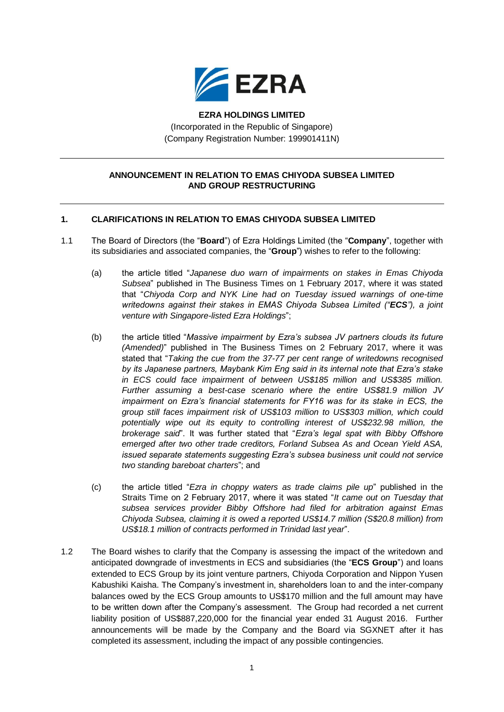

**EZRA HOLDINGS LIMITED** (Incorporated in the Republic of Singapore) (Company Registration Number: 199901411N)

## **ANNOUNCEMENT IN RELATION TO EMAS CHIYODA SUBSEA LIMITED AND GROUP RESTRUCTURING**

## **1. CLARIFICATIONS IN RELATION TO EMAS CHIYODA SUBSEA LIMITED**

- 1.1 The Board of Directors (the "**Board**") of Ezra Holdings Limited (the "**Company**", together with its subsidiaries and associated companies, the "**Group**") wishes to refer to the following:
	- (a) the article titled "*Japanese duo warn of impairments on stakes in Emas Chiyoda Subsea*" published in The Business Times on 1 February 2017, where it was stated that "*Chiyoda Corp and NYK Line had on Tuesday issued warnings of one-time writedowns against their stakes in EMAS Chiyoda Subsea Limited ("ECS"), a joint venture with Singapore-listed Ezra Holdings*";
	- (b) the article titled "*Massive impairment by Ezra's subsea JV partners clouds its future (Amended)*" published in The Business Times on 2 February 2017, where it was stated that "*Taking the cue from the 37-77 per cent range of writedowns recognised by its Japanese partners, Maybank Kim Eng said in its internal note that Ezra's stake in ECS could face impairment of between US\$185 million and US\$385 million. Further assuming a best-case scenario where the entire US\$81.9 million JV impairment on Ezra's financial statements for FY16 was for its stake in ECS, the group still faces impairment risk of US\$103 million to US\$303 million, which could potentially wipe out its equity to controlling interest of US\$232.98 million, the brokerage said*". It was further stated that "*Ezra's legal spat with Bibby Offshore emerged after two other trade creditors, Forland Subsea As and Ocean Yield ASA, issued separate statements suggesting Ezra's subsea business unit could not service two standing bareboat charters*"; and
	- (c) the article titled "*Ezra in choppy waters as trade claims pile up*" published in the Straits Time on 2 February 2017, where it was stated "*It came out on Tuesday that subsea services provider Bibby Offshore had filed for arbitration against Emas Chiyoda Subsea, claiming it is owed a reported US\$14.7 million (S\$20.8 million) from US\$18.1 million of contracts performed in Trinidad last year*".
- 1.2 The Board wishes to clarify that the Company is assessing the impact of the writedown and anticipated downgrade of investments in ECS and subsidiaries (the "**ECS Group**") and loans extended to ECS Group by its joint venture partners, Chiyoda Corporation and Nippon Yusen Kabushiki Kaisha. The Company's investment in, shareholders loan to and the inter-company balances owed by the ECS Group amounts to US\$170 million and the full amount may have to be written down after the Company's assessment. The Group had recorded a net current liability position of US\$887,220,000 for the financial year ended 31 August 2016. Further announcements will be made by the Company and the Board via SGXNET after it has completed its assessment, including the impact of any possible contingencies.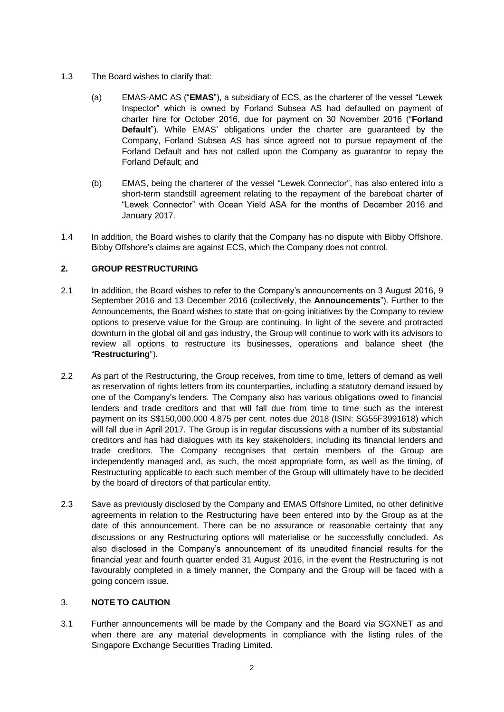- 1.3 The Board wishes to clarify that:
	- (a) EMAS-AMC AS ("**EMAS**"), a subsidiary of ECS, as the charterer of the vessel "Lewek Inspector" which is owned by Forland Subsea AS had defaulted on payment of charter hire for October 2016, due for payment on 30 November 2016 ("**Forland Default**"). While EMAS' obligations under the charter are guaranteed by the Company, Forland Subsea AS has since agreed not to pursue repayment of the Forland Default and has not called upon the Company as guarantor to repay the Forland Default; and
	- (b) EMAS, being the charterer of the vessel "Lewek Connector", has also entered into a short-term standstill agreement relating to the repayment of the bareboat charter of "Lewek Connector" with Ocean Yield ASA for the months of December 2016 and January 2017.
- 1.4 In addition, the Board wishes to clarify that the Company has no dispute with Bibby Offshore. Bibby Offshore's claims are against ECS, which the Company does not control.

## **2. GROUP RESTRUCTURING**

- 2.1 In addition, the Board wishes to refer to the Company's announcements on 3 August 2016, 9 September 2016 and 13 December 2016 (collectively, the **Announcements**"). Further to the Announcements, the Board wishes to state that on-going initiatives by the Company to review options to preserve value for the Group are continuing. In light of the severe and protracted downturn in the global oil and gas industry, the Group will continue to work with its advisors to review all options to restructure its businesses, operations and balance sheet (the "**Restructuring**").
- 2.2 As part of the Restructuring, the Group receives, from time to time, letters of demand as well as reservation of rights letters from its counterparties, including a statutory demand issued by one of the Company's lenders. The Company also has various obligations owed to financial lenders and trade creditors and that will fall due from time to time such as the interest payment on its S\$150,000,000 4.875 per cent. notes due 2018 (ISIN: SG55F3991618) which will fall due in April 2017. The Group is in regular discussions with a number of its substantial creditors and has had dialogues with its key stakeholders, including its financial lenders and trade creditors. The Company recognises that certain members of the Group are independently managed and, as such, the most appropriate form, as well as the timing, of Restructuring applicable to each such member of the Group will ultimately have to be decided by the board of directors of that particular entity.
- 2.3 Save as previously disclosed by the Company and EMAS Offshore Limited, no other definitive agreements in relation to the Restructuring have been entered into by the Group as at the date of this announcement. There can be no assurance or reasonable certainty that any discussions or any Restructuring options will materialise or be successfully concluded. As also disclosed in the Company's announcement of its unaudited financial results for the financial year and fourth quarter ended 31 August 2016, in the event the Restructuring is not favourably completed in a timely manner, the Company and the Group will be faced with a going concern issue.

## 3. **NOTE TO CAUTION**

3.1 Further announcements will be made by the Company and the Board via SGXNET as and when there are any material developments in compliance with the listing rules of the Singapore Exchange Securities Trading Limited.